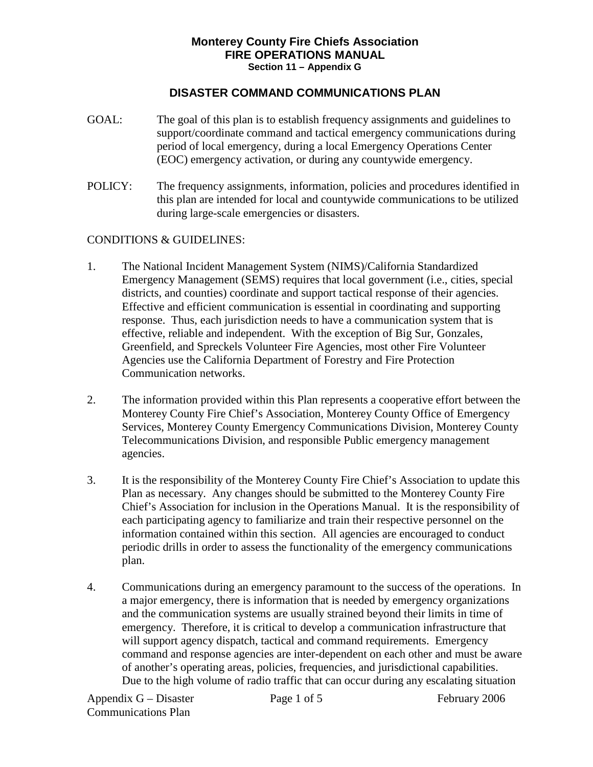## **Monterey County Fire Chiefs Association FIRE OPERATIONS MANUAL Section 11 – Appendix G**

## **DISASTER COMMAND COMMUNICATIONS PLAN**

- GOAL: The goal of this plan is to establish frequency assignments and guidelines to support/coordinate command and tactical emergency communications during period of local emergency, during a local Emergency Operations Center (EOC) emergency activation, or during any countywide emergency.
- POLICY: The frequency assignments, information, policies and procedures identified in this plan are intended for local and countywide communications to be utilized during large-scale emergencies or disasters.

## CONDITIONS & GUIDELINES:

- 1. The National Incident Management System (NIMS)/California Standardized Emergency Management (SEMS) requires that local government (i.e., cities, special districts, and counties) coordinate and support tactical response of their agencies. Effective and efficient communication is essential in coordinating and supporting response. Thus, each jurisdiction needs to have a communication system that is effective, reliable and independent. With the exception of Big Sur, Gonzales, Greenfield, and Spreckels Volunteer Fire Agencies, most other Fire Volunteer Agencies use the California Department of Forestry and Fire Protection Communication networks.
- 2. The information provided within this Plan represents a cooperative effort between the Monterey County Fire Chief's Association, Monterey County Office of Emergency Services, Monterey County Emergency Communications Division, Monterey County Telecommunications Division, and responsible Public emergency management agencies.
- 3. It is the responsibility of the Monterey County Fire Chief's Association to update this Plan as necessary. Any changes should be submitted to the Monterey County Fire Chief's Association for inclusion in the Operations Manual. It is the responsibility of each participating agency to familiarize and train their respective personnel on the information contained within this section. All agencies are encouraged to conduct periodic drills in order to assess the functionality of the emergency communications plan.
- 4. Communications during an emergency paramount to the success of the operations. In a major emergency, there is information that is needed by emergency organizations and the communication systems are usually strained beyond their limits in time of emergency. Therefore, it is critical to develop a communication infrastructure that will support agency dispatch, tactical and command requirements. Emergency command and response agencies are inter-dependent on each other and must be aware of another's operating areas, policies, frequencies, and jurisdictional capabilities. Due to the high volume of radio traffic that can occur during any escalating situation

Appendix G – Disaster Page 1 of 5 February 2006 Communications Plan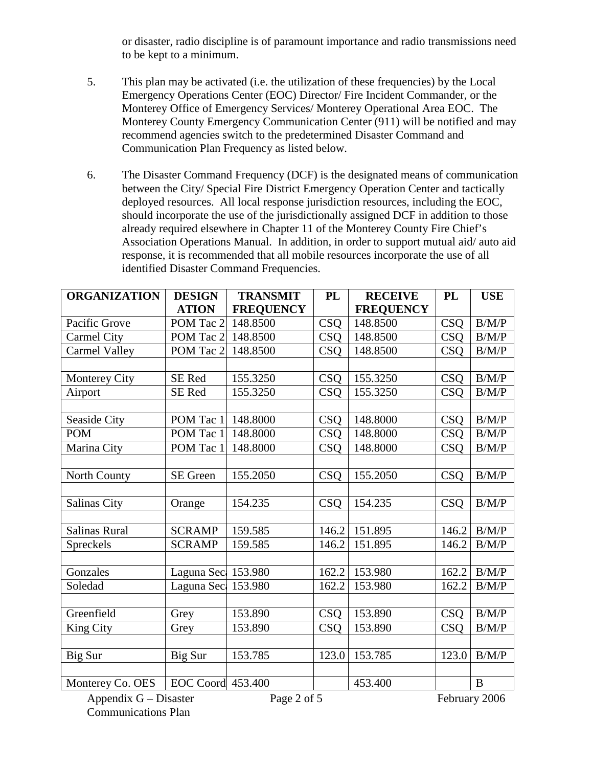or disaster, radio discipline is of paramount importance and radio transmissions need to be kept to a minimum.

- 5. This plan may be activated (i.e. the utilization of these frequencies) by the Local Emergency Operations Center (EOC) Director/ Fire Incident Commander, or the Monterey Office of Emergency Services/ Monterey Operational Area EOC. The Monterey County Emergency Communication Center (911) will be notified and may recommend agencies switch to the predetermined Disaster Command and Communication Plan Frequency as listed below.
- 6. The Disaster Command Frequency (DCF) is the designated means of communication between the City/ Special Fire District Emergency Operation Center and tactically deployed resources. All local response jurisdiction resources, including the EOC, should incorporate the use of the jurisdictionally assigned DCF in addition to those already required elsewhere in Chapter 11 of the Monterey County Fire Chief's Association Operations Manual. In addition, in order to support mutual aid/ auto aid response, it is recommended that all mobile resources incorporate the use of all identified Disaster Command Frequencies.

| <b>ORGANIZATION</b>  | <b>DESIGN</b>      | <b>TRANSMIT</b>  | <b>PL</b>  | <b>RECEIVE</b>   | PL               | <b>USE</b>   |
|----------------------|--------------------|------------------|------------|------------------|------------------|--------------|
|                      | <b>ATION</b>       | <b>FREQUENCY</b> |            | <b>FREQUENCY</b> |                  |              |
| Pacific Grove        | POM Tac 2          | 148.8500         | <b>CSQ</b> | 148.8500         | <b>CSQ</b>       | B/M/P        |
| <b>Carmel City</b>   | POM Tac 2          | 148.8500         | <b>CSQ</b> | 148.8500         | $\overline{C}SQ$ | B/M/P        |
| Carmel Valley        | POM Tac 2          | 148.8500         | <b>CSQ</b> | 148.8500         | <b>CSO</b>       | B/M/P        |
|                      |                    |                  |            |                  |                  |              |
| Monterey City        | SE Red             | 155.3250         | <b>CSQ</b> | 155.3250         | <b>CSQ</b>       | B/M/P        |
| Airport              | SE Red             | 155.3250         | <b>CSQ</b> | 155.3250         | <b>CSQ</b>       | B/M/P        |
|                      |                    |                  |            |                  |                  |              |
| Seaside City         | POM Tac 1          | 148.8000         | <b>CSQ</b> | 148.8000         | <b>CSQ</b>       | $\rm\,B/M/P$ |
| <b>POM</b>           | POM Tac 1          | 148.8000         | <b>CSQ</b> | 148.8000         | <b>CSQ</b>       | B/M/P        |
| Marina City          | POM Tac 1          | 148.8000         | <b>CSQ</b> | 148.8000         | <b>CSQ</b>       | B/M/P        |
|                      |                    |                  |            |                  |                  |              |
| North County         | SE Green           | 155.2050         | <b>CSQ</b> | 155.2050         | <b>CSQ</b>       | B/M/P        |
|                      |                    |                  |            |                  |                  |              |
| Salinas City         | Orange             | 154.235          | <b>CSQ</b> | 154.235          | <b>CSQ</b>       | B/M/P        |
|                      |                    |                  |            |                  |                  |              |
| <b>Salinas Rural</b> | <b>SCRAMP</b>      | 159.585          | 146.2      | 151.895          | 146.2            | B/M/P        |
| Spreckels            | <b>SCRAMP</b>      | 159.585          | 146.2      | 151.895          | 146.2            | B/M/P        |
|                      |                    |                  |            |                  |                  |              |
| Gonzales             | Laguna Sec 153.980 |                  | 162.2      | 153.980          | 162.2            | B/M/P        |
| Soledad              | Laguna Sec 153.980 |                  | 162.2      | 153.980          | 162.2            | B/M/P        |
|                      |                    |                  |            |                  |                  |              |
| Greenfield           | Grey               | 153.890          | <b>CSQ</b> | 153.890          | <b>CSQ</b>       | B/M/P        |
| King City            | Grey               | 153.890          | <b>CSQ</b> | 153.890          | <b>CSQ</b>       | B/M/P        |
|                      |                    |                  |            |                  |                  |              |
| Big Sur              | Big Sur            | 153.785          | 123.0      | 153.785          | 123.0            | B/M/P        |
|                      |                    |                  |            |                  |                  |              |
| Monterey Co. OES     | EOC Coord 453.400  |                  |            | 453.400          |                  | $\bf{B}$     |

Appendix G – Disaster Page 2 of 5 February 2006 Communications Plan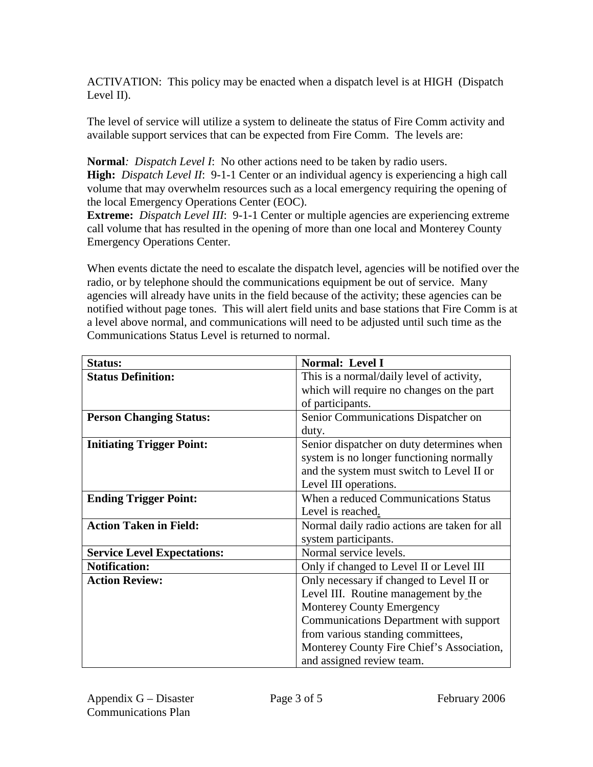ACTIVATION: This policy may be enacted when a dispatch level is at HIGH (Dispatch Level II).

The level of service will utilize a system to delineate the status of Fire Comm activity and available support services that can be expected from Fire Comm. The levels are:

**Normal***: Dispatch Level I*: No other actions need to be taken by radio users.

**High:** *Dispatch Level II*: 9-1-1 Center or an individual agency is experiencing a high call volume that may overwhelm resources such as a local emergency requiring the opening of the local Emergency Operations Center (EOC).

**Extreme:** *Dispatch Level III*: 9-1-1 Center or multiple agencies are experiencing extreme call volume that has resulted in the opening of more than one local and Monterey County Emergency Operations Center.

When events dictate the need to escalate the dispatch level, agencies will be notified over the radio, or by telephone should the communications equipment be out of service. Many agencies will already have units in the field because of the activity; these agencies can be notified without page tones. This will alert field units and base stations that Fire Comm is at a level above normal, and communications will need to be adjusted until such time as the Communications Status Level is returned to normal.

| <b>Status:</b>                     | <b>Normal: Level I</b>                       |
|------------------------------------|----------------------------------------------|
| <b>Status Definition:</b>          | This is a normal/daily level of activity,    |
|                                    | which will require no changes on the part    |
|                                    | of participants.                             |
| <b>Person Changing Status:</b>     | Senior Communications Dispatcher on          |
|                                    | duty.                                        |
| <b>Initiating Trigger Point:</b>   | Senior dispatcher on duty determines when    |
|                                    | system is no longer functioning normally     |
|                                    | and the system must switch to Level II or    |
|                                    | Level III operations.                        |
| <b>Ending Trigger Point:</b>       | When a reduced Communications Status         |
|                                    | Level is reached.                            |
| <b>Action Taken in Field:</b>      | Normal daily radio actions are taken for all |
|                                    | system participants.                         |
| <b>Service Level Expectations:</b> | Normal service levels.                       |
| <b>Notification:</b>               | Only if changed to Level II or Level III     |
| <b>Action Review:</b>              | Only necessary if changed to Level II or     |
|                                    | Level III. Routine management by the         |
|                                    | <b>Monterey County Emergency</b>             |
|                                    | Communications Department with support       |
|                                    | from various standing committees,            |
|                                    | Monterey County Fire Chief's Association,    |
|                                    | and assigned review team.                    |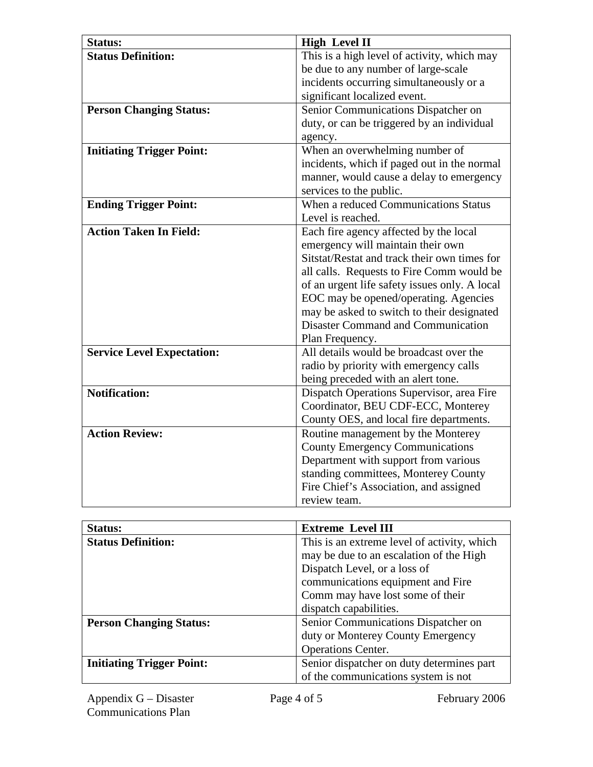| <b>Status:</b>                    | <b>High Level II</b>                          |
|-----------------------------------|-----------------------------------------------|
| <b>Status Definition:</b>         | This is a high level of activity, which may   |
|                                   | be due to any number of large-scale           |
|                                   | incidents occurring simultaneously or a       |
|                                   | significant localized event.                  |
| <b>Person Changing Status:</b>    | Senior Communications Dispatcher on           |
|                                   | duty, or can be triggered by an individual    |
|                                   | agency.                                       |
| <b>Initiating Trigger Point:</b>  | When an overwhelming number of                |
|                                   | incidents, which if paged out in the normal   |
|                                   | manner, would cause a delay to emergency      |
|                                   | services to the public.                       |
| <b>Ending Trigger Point:</b>      | When a reduced Communications Status          |
|                                   | Level is reached.                             |
| <b>Action Taken In Field:</b>     | Each fire agency affected by the local        |
|                                   | emergency will maintain their own             |
|                                   | Sitstat/Restat and track their own times for  |
|                                   | all calls. Requests to Fire Comm would be     |
|                                   | of an urgent life safety issues only. A local |
|                                   | EOC may be opened/operating. Agencies         |
|                                   | may be asked to switch to their designated    |
|                                   | <b>Disaster Command and Communication</b>     |
|                                   | Plan Frequency.                               |
| <b>Service Level Expectation:</b> | All details would be broadcast over the       |
|                                   | radio by priority with emergency calls        |
|                                   | being preceded with an alert tone.            |
| <b>Notification:</b>              | Dispatch Operations Supervisor, area Fire     |
|                                   | Coordinator, BEU CDF-ECC, Monterey            |
|                                   | County OES, and local fire departments.       |
| <b>Action Review:</b>             | Routine management by the Monterey            |
|                                   | <b>County Emergency Communications</b>        |
|                                   | Department with support from various          |
|                                   | standing committees, Monterey County          |
|                                   | Fire Chief's Association, and assigned        |
|                                   | review team.                                  |
|                                   |                                               |
| $Ch$                              | <b>Extrama</b> Laval III                      |

| <b>Status:</b>                   | <b>Extreme Level III</b>                    |
|----------------------------------|---------------------------------------------|
| <b>Status Definition:</b>        | This is an extreme level of activity, which |
|                                  | may be due to an escalation of the High     |
|                                  | Dispatch Level, or a loss of                |
|                                  | communications equipment and Fire           |
|                                  | Comm may have lost some of their            |
|                                  | dispatch capabilities.                      |
| <b>Person Changing Status:</b>   | Senior Communications Dispatcher on         |
|                                  | duty or Monterey County Emergency           |
|                                  | <b>Operations Center.</b>                   |
| <b>Initiating Trigger Point:</b> | Senior dispatcher on duty determines part   |
|                                  | of the communications system is not         |